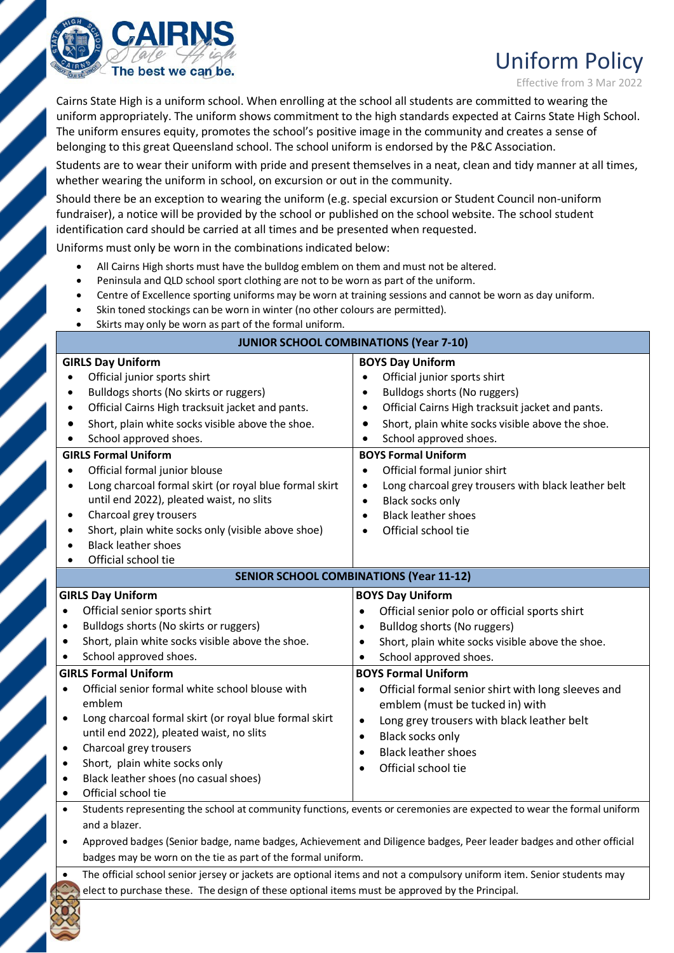

# Uniform Policy

Effective from 3 Mar 2022

Cairns State High is a uniform school. When enrolling at the school all students are committed to wearing the uniform appropriately. The uniform shows commitment to the high standards expected at Cairns State High School. The uniform ensures equity, promotes the school's positive image in the community and creates a sense of belonging to this great Queensland school. The school uniform is endorsed by the P&C Association.

Students are to wear their uniform with pride and present themselves in a neat, clean and tidy manner at all times, whether wearing the uniform in school, on excursion or out in the community.

Should there be an exception to wearing the uniform (e.g. special excursion or Student Council non-uniform fundraiser), a notice will be provided by the school or published on the school website. The school student identification card should be carried at all times and be presented when requested.

Uniforms must only be worn in the combinations indicated below:

- All Cairns High shorts must have the bulldog emblem on them and must not be altered.
- Peninsula and QLD school sport clothing are not to be worn as part of the uniform.
- Centre of Excellence sporting uniforms may be worn at training sessions and cannot be worn as day uniform.
- Skin toned stockings can be worn in winter (no other colours are permitted).
- Skirts may only be worn as part of the formal uniform.

| <b>JUNIOR SCHOOL COMBINATIONS (Year 7-10)</b>                                                                                                                                                                                                                                                                                                                                                                                                                                                                                                                                                                                                                                                  |                                                                                                                                                                                                                                                                                                                                                                                                                                                                                                                                                           |
|------------------------------------------------------------------------------------------------------------------------------------------------------------------------------------------------------------------------------------------------------------------------------------------------------------------------------------------------------------------------------------------------------------------------------------------------------------------------------------------------------------------------------------------------------------------------------------------------------------------------------------------------------------------------------------------------|-----------------------------------------------------------------------------------------------------------------------------------------------------------------------------------------------------------------------------------------------------------------------------------------------------------------------------------------------------------------------------------------------------------------------------------------------------------------------------------------------------------------------------------------------------------|
| <b>GIRLS Day Uniform</b><br>Official junior sports shirt<br>$\bullet$<br>Bulldogs shorts (No skirts or ruggers)<br>$\bullet$<br>Official Cairns High tracksuit jacket and pants.<br>$\bullet$<br>Short, plain white socks visible above the shoe.<br>$\bullet$<br>School approved shoes.<br>$\bullet$<br><b>GIRLS Formal Uniform</b><br>Official formal junior blouse<br>$\bullet$<br>Long charcoal formal skirt (or royal blue formal skirt<br>$\bullet$<br>until end 2022), pleated waist, no slits<br>Charcoal grey trousers<br>$\bullet$<br>Short, plain white socks only (visible above shoe)<br>$\bullet$<br><b>Black leather shoes</b><br>$\bullet$<br>Official school tie<br>$\bullet$ | <b>BOYS Day Uniform</b><br>Official junior sports shirt<br>$\bullet$<br>Bulldogs shorts (No ruggers)<br>$\bullet$<br>Official Cairns High tracksuit jacket and pants.<br>$\bullet$<br>Short, plain white socks visible above the shoe.<br>$\bullet$<br>School approved shoes.<br>$\bullet$<br><b>BOYS Formal Uniform</b><br>Official formal junior shirt<br>$\bullet$<br>Long charcoal grey trousers with black leather belt<br>$\bullet$<br>Black socks only<br>$\bullet$<br><b>Black leather shoes</b><br>$\bullet$<br>Official school tie<br>$\bullet$ |
| <b>SENIOR SCHOOL COMBINATIONS (Year 11-12)</b>                                                                                                                                                                                                                                                                                                                                                                                                                                                                                                                                                                                                                                                 |                                                                                                                                                                                                                                                                                                                                                                                                                                                                                                                                                           |
| <b>GIRLS Day Uniform</b><br>Official senior sports shirt<br>$\bullet$<br>Bulldogs shorts (No skirts or ruggers)<br>$\bullet$<br>Short, plain white socks visible above the shoe.<br>$\bullet$<br>School approved shoes.<br>$\bullet$<br><b>GIRLS Formal Uniform</b><br>Official senior formal white school blouse with<br>$\bullet$<br>emblem<br>Long charcoal formal skirt (or royal blue formal skirt<br>$\bullet$<br>until end 2022), pleated waist, no slits<br>Charcoal grey trousers<br>$\bullet$<br>Short, plain white socks only<br>$\bullet$<br>Black leather shoes (no casual shoes)<br>$\bullet$<br>Official school tie<br>$\bullet$                                                | <b>BOYS Day Uniform</b><br>Official senior polo or official sports shirt<br>$\bullet$<br>Bulldog shorts (No ruggers)<br>$\bullet$<br>Short, plain white socks visible above the shoe.<br>$\bullet$<br>School approved shoes.<br>$\bullet$<br><b>BOYS Formal Uniform</b><br>Official formal senior shirt with long sleeves and<br>$\bullet$<br>emblem (must be tucked in) with<br>Long grey trousers with black leather belt<br>$\bullet$<br>Black socks only<br>$\bullet$<br><b>Black leather shoes</b><br>$\bullet$<br>Official school tie<br>$\bullet$  |
| Students representing the school at community functions, events or ceremonies are expected to wear the formal uniform<br>$\bullet$<br>and a blazer.<br>Approved badges (Senior badge, name badges, Achievement and Diligence badges, Peer leader badges and other official<br>$\bullet$<br>badges may be worn on the tie as part of the formal uniform.<br>The official school senior jersey or jackets are optional items and not a compulsory uniform item. Senior students may<br>$\bullet$<br>elect to purchase these. The design of these optional items must be approved by the Principal.                                                                                               |                                                                                                                                                                                                                                                                                                                                                                                                                                                                                                                                                           |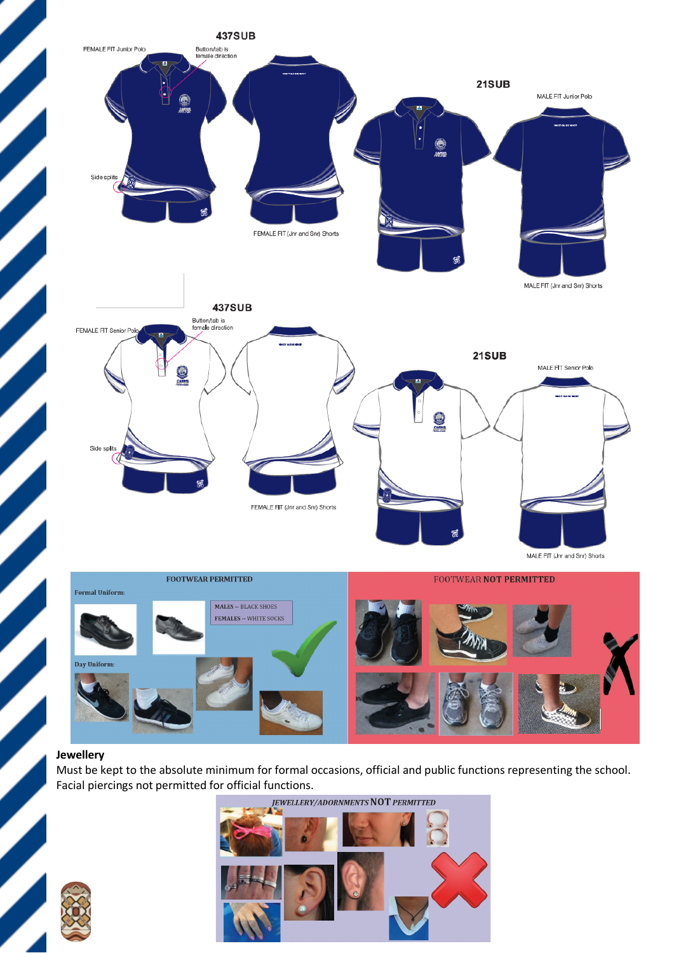

#### **Jewellery**

Must be kept to the absolute minimum for formal occasions, official and public functions representing the school. Facial piercings not permitted for official functions.

**JEWELLERY/ADORNMENTS NOT PERMITTED** 



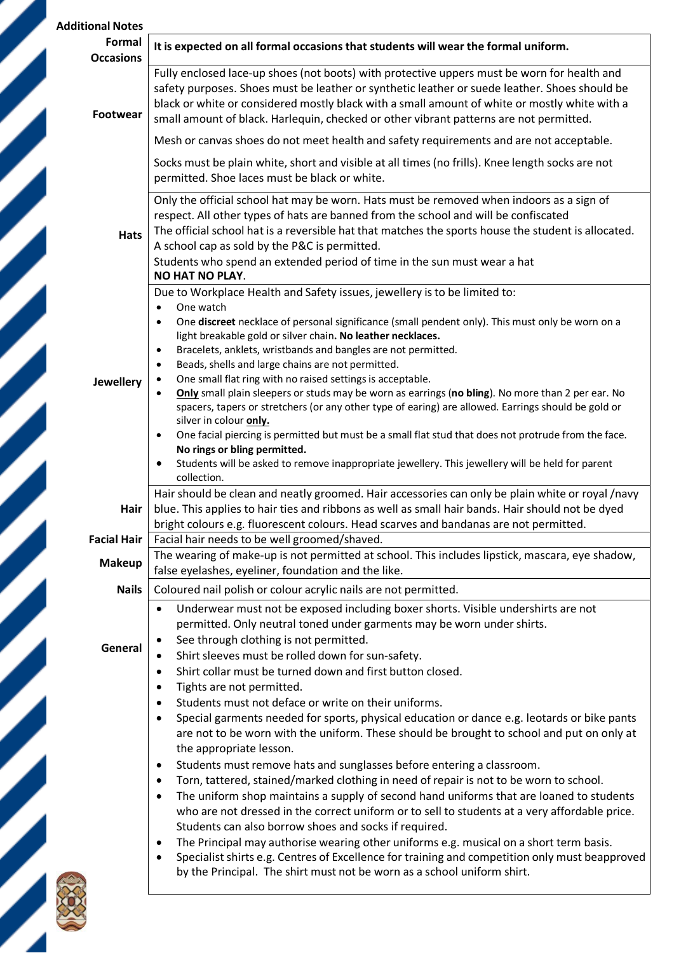| <b>Additional Notes</b>    |                                                                                                                                                                                                                                                                                                                                                                                                                                                                                                                 |
|----------------------------|-----------------------------------------------------------------------------------------------------------------------------------------------------------------------------------------------------------------------------------------------------------------------------------------------------------------------------------------------------------------------------------------------------------------------------------------------------------------------------------------------------------------|
| Formal<br><b>Occasions</b> | It is expected on all formal occasions that students will wear the formal uniform.                                                                                                                                                                                                                                                                                                                                                                                                                              |
| <b>Footwear</b>            | Fully enclosed lace-up shoes (not boots) with protective uppers must be worn for health and<br>safety purposes. Shoes must be leather or synthetic leather or suede leather. Shoes should be<br>black or white or considered mostly black with a small amount of white or mostly white with a<br>small amount of black. Harlequin, checked or other vibrant patterns are not permitted.                                                                                                                         |
|                            | Mesh or canvas shoes do not meet health and safety requirements and are not acceptable.                                                                                                                                                                                                                                                                                                                                                                                                                         |
|                            | Socks must be plain white, short and visible at all times (no frills). Knee length socks are not<br>permitted. Shoe laces must be black or white.                                                                                                                                                                                                                                                                                                                                                               |
| <b>Hats</b>                | Only the official school hat may be worn. Hats must be removed when indoors as a sign of<br>respect. All other types of hats are banned from the school and will be confiscated<br>The official school hat is a reversible hat that matches the sports house the student is allocated.<br>A school cap as sold by the P&C is permitted.<br>Students who spend an extended period of time in the sun must wear a hat<br><b>NO HAT NO PLAY.</b>                                                                   |
|                            | Due to Workplace Health and Safety issues, jewellery is to be limited to:<br>One watch<br>$\bullet$<br>One discreet necklace of personal significance (small pendent only). This must only be worn on a<br>$\bullet$                                                                                                                                                                                                                                                                                            |
| <b>Jewellery</b>           | light breakable gold or silver chain. No leather necklaces.<br>Bracelets, anklets, wristbands and bangles are not permitted.<br>$\bullet$<br>Beads, shells and large chains are not permitted.<br>$\bullet$<br>One small flat ring with no raised settings is acceptable.<br>Only small plain sleepers or studs may be worn as earrings (no bling). No more than 2 per ear. No<br>spacers, tapers or stretchers (or any other type of earing) are allowed. Earrings should be gold or<br>silver in colour only. |
|                            | One facial piercing is permitted but must be a small flat stud that does not protrude from the face.<br>No rings or bling permitted.<br>Students will be asked to remove inappropriate jewellery. This jewellery will be held for parent<br>collection.                                                                                                                                                                                                                                                         |
| Hair                       | Hair should be clean and neatly groomed. Hair accessories can only be plain white or royal /navy<br>blue. This applies to hair ties and ribbons as well as small hair bands. Hair should not be dyed<br>bright colours e.g. fluorescent colours. Head scarves and bandanas are not permitted.                                                                                                                                                                                                                   |
| <b>Facial Hair</b>         | Facial hair needs to be well groomed/shaved.                                                                                                                                                                                                                                                                                                                                                                                                                                                                    |
| <b>Makeup</b>              | The wearing of make-up is not permitted at school. This includes lipstick, mascara, eye shadow,<br>false eyelashes, eyeliner, foundation and the like.                                                                                                                                                                                                                                                                                                                                                          |
| <b>Nails</b>               | Coloured nail polish or colour acrylic nails are not permitted.                                                                                                                                                                                                                                                                                                                                                                                                                                                 |
| General                    | Underwear must not be exposed including boxer shorts. Visible undershirts are not<br>$\bullet$<br>permitted. Only neutral toned under garments may be worn under shirts.<br>See through clothing is not permitted.<br>Shirt sleeves must be rolled down for sun-safety.<br>Shirt collar must be turned down and first button closed.<br>٠                                                                                                                                                                       |
|                            | Tights are not permitted.<br>Students must not deface or write on their uniforms.<br>$\bullet$<br>Special garments needed for sports, physical education or dance e.g. leotards or bike pants<br>$\bullet$                                                                                                                                                                                                                                                                                                      |
|                            | are not to be worn with the uniform. These should be brought to school and put on only at<br>the appropriate lesson.<br>Students must remove hats and sunglasses before entering a classroom.<br>٠<br>Torn, tattered, stained/marked clothing in need of repair is not to be worn to school.<br>$\bullet$<br>The uniform shop maintains a supply of second hand uniforms that are loaned to students<br>$\bullet$                                                                                               |
|                            | who are not dressed in the correct uniform or to sell to students at a very affordable price.<br>Students can also borrow shoes and socks if required.<br>The Principal may authorise wearing other uniforms e.g. musical on a short term basis.<br>Specialist shirts e.g. Centres of Excellence for training and competition only must beapproved<br>by the Principal. The shirt must not be worn as a school uniform shirt.                                                                                   |
|                            |                                                                                                                                                                                                                                                                                                                                                                                                                                                                                                                 |